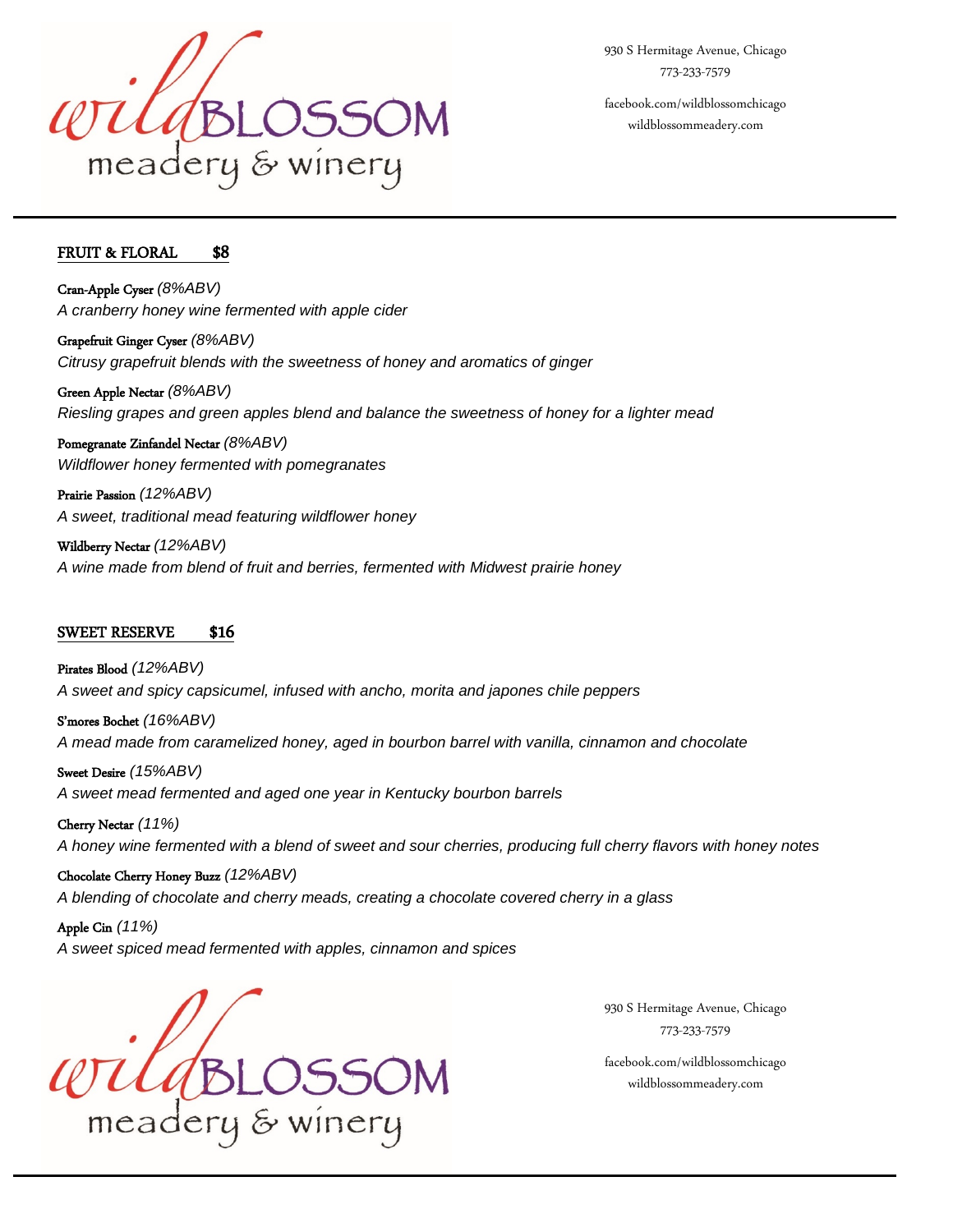

930 S Hermitage Avenue, Chicago 773-233-7579 facebook.com/wildblossomchicago

wildblossommeadery.com

## FRUIT & FLORAL \$8

L

֦

Cran-Apple Cyser *(8%ABV) A cranberry honey wine fermented with apple cider*

Grapefruit Ginger Cyser *(8%ABV) Citrusy grapefruit blends with the sweetness of honey and aromatics of ginger*

Green Apple Nectar *(8%ABV) Riesling grapes and green apples blend and balance the sweetness of honey for a lighter mead*

Pomegranate Zinfandel Nectar *(8%ABV) Wildflower honey fermented with pomegranates*

Prairie Passion *(12%ABV) A sweet, traditional mead featuring wildflower honey*

Wildberry Nectar *(12%ABV) A wine made from blend of fruit and berries, fermented with Midwest prairie honey*

## SWEET RESERVE \$16

Pirates Blood *(12%ABV) A sweet and spicy capsicumel, infused with ancho, morita and japones chile peppers*

S'mores Bochet *(16%ABV) A mead made from caramelized honey, aged in bourbon barrel with vanilla, cinnamon and chocolate*

Sweet Desire *(15%ABV) A sweet mead fermented and aged one year in Kentucky bourbon barrels*

Cherry Nectar *(11%) A honey wine fermented with a blend of sweet and sour cherries, producing full cherry flavors with honey notes*

Chocolate Cherry Honey Buzz *(12%ABV) A blending of chocolate and cherry meads, creating a chocolate covered cherry in a glass*

Apple Cin *(11%) A sweet spiced mead fermented with apples, cinnamon and spices*

 $\ell$ dBLO. meadery & winery

930 S Hermitage Avenue, Chicago 773-233-7579

facebook.com/wildblossomchicago wildblossommeadery.com